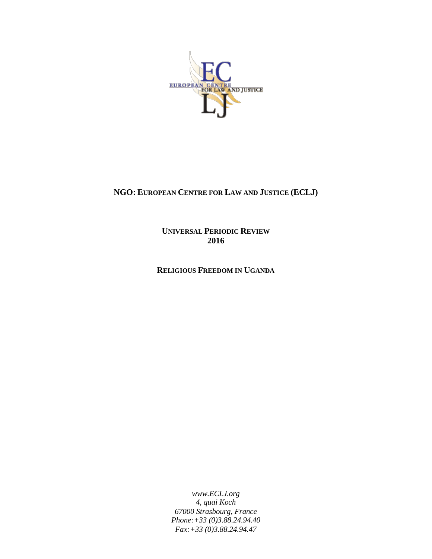

# **NGO: EUROPEAN CENTRE FOR LAW AND JUSTICE (ECLJ)**

**UNIVERSAL PERIODIC REVIEW 2016**

**RELIGIOUS FREEDOM IN UGANDA**

*www.ECLJ.org 4, quai Koch 67000 Strasbourg, France Phone:+33 (0)3.88.24.94.40 Fax:+33 (0)3.88.24.94.47*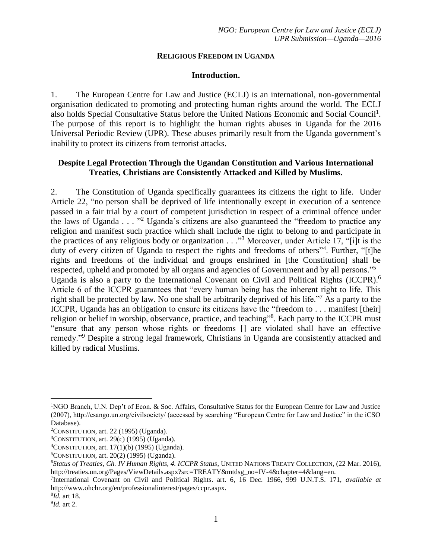#### **RELIGIOUS FREEDOM IN UGANDA**

#### **Introduction.**

1. The European Centre for Law and Justice (ECLJ) is an international, non-governmental organisation dedicated to promoting and protecting human rights around the world. The ECLJ also holds Special Consultative Status before the United Nations Economic and Social Council<sup>1</sup>. The purpose of this report is to highlight the human rights abuses in Uganda for the 2016 Universal Periodic Review (UPR). These abuses primarily result from the Uganda government's inability to protect its citizens from terrorist attacks.

## **Despite Legal Protection Through the Ugandan Constitution and Various International Treaties, Christians are Consistently Attacked and Killed by Muslims.**

2. The Constitution of Uganda specifically guarantees its citizens the right to life. Under Article 22, "no person shall be deprived of life intentionally except in execution of a sentence passed in a fair trial by a court of competent jurisdiction in respect of a criminal offence under the laws of Uganda . . . "<sup>2</sup> Uganda's citizens are also guaranteed the "freedom to practice any religion and manifest such practice which shall include the right to belong to and participate in the practices of any religious body or organization  $\ldots$ <sup>3</sup> Moreover, under Article 17, "[i]t is the duty of every citizen of Uganda to respect the rights and freedoms of others<sup>14</sup>. Further, "[t]he rights and freedoms of the individual and groups enshrined in [the Constitution] shall be respected, upheld and promoted by all organs and agencies of Government and by all persons."<sup>5</sup> Uganda is also a party to the International Covenant on Civil and Political Rights (ICCPR). 6 Article 6 of the ICCPR guarantees that "every human being has the inherent right to life. This right shall be protected by law. No one shall be arbitrarily deprived of his life."<sup>7</sup> As a party to the ICCPR, Uganda has an obligation to ensure its citizens have the "freedom to . . . manifest [their] religion or belief in worship, observance, practice, and teaching<sup>38</sup>. Each party to the ICCPR must "ensure that any person whose rights or freedoms [] are violated shall have an effective remedy."<sup>9</sup> Despite a strong legal framework, Christians in Uganda are consistently attacked and killed by radical Muslims.

 $\overline{a}$ 

<sup>1</sup>NGO Branch, U.N. Dep't of Econ. & Soc. Affairs, Consultative Status for the European Centre for Law and Justice (2007), http://esango.un.org/civilsociety/ (accessed by searching "European Centre for Law and Justice" in the iCSO Database).

<sup>2</sup>CONSTITUTION, art. 22 (1995) (Uganda).

 $3$ CONSTITUTION, art. 29(c) (1995) (Uganda).

 $4$ CONSTITUTION, art. 17(1)(b) (1995) (Uganda).

 $5$ CONSTITUTION, art. 20(2) (1995) (Uganda).

<sup>6</sup>*Status of Treaties*, *Ch. IV Human Rights, 4. ICCPR Status*, UNITED NATIONS TREATY COLLECTION, (22 Mar. 2016), http://treaties.un.org/Pages/ViewDetails.aspx?src=TREATY&mtdsg\_no=IV-4&chapter=4&lang=en.

<sup>7</sup> International Covenant on Civil and Political Rights. art. 6, 16 Dec. 1966, 999 U.N.T.S. 171, *available at* http://www.ohchr.org/en/professionalinterest/pages/ccpr.aspx.

<sup>8</sup> *Id.* art 18.

<sup>9</sup> *Id.* art 2.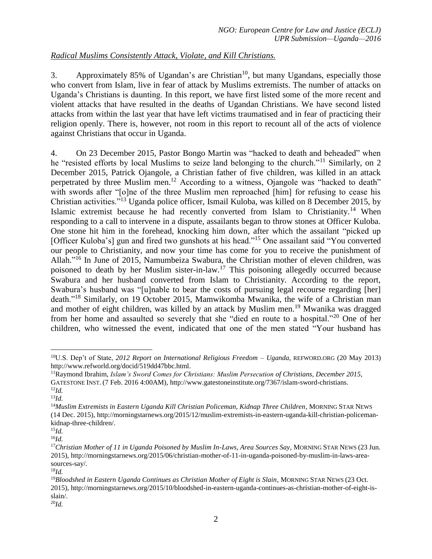# *Radical Muslims Consistently Attack, Violate, and Kill Christians.*

3. Approximately 85% of Ugandan's are Christian<sup>10</sup>, but many Ugandans, especially those who convert from Islam, live in fear of attack by Muslims extremists. The number of attacks on Uganda's Christians is daunting. In this report, we have first listed some of the more recent and violent attacks that have resulted in the deaths of Ugandan Christians. We have second listed attacks from within the last year that have left victims traumatised and in fear of practicing their religion openly. There is, however, not room in this report to recount all of the acts of violence against Christians that occur in Uganda.

4. On 23 December 2015, Pastor Bongo Martin was "hacked to death and beheaded" when he "resisted efforts by local Muslims to seize land belonging to the church."<sup>11</sup> Similarly, on 2 December 2015, Patrick Ojangole, a Christian father of five children, was killed in an attack perpetrated by three Muslim men.<sup>12</sup> According to a witness, Ojangole was "hacked to death" with swords after "[o]ne of the three Muslim men reproached [him] for refusing to cease his Christian activities."<sup>13</sup> Uganda police officer, Ismail Kuloba, was killed on 8 December 2015, by Islamic extremist because he had recently converted from Islam to Christianity.<sup>14</sup> When responding to a call to intervene in a dispute, assailants began to throw stones at Officer Kuloba. One stone hit him in the forehead, knocking him down, after which the assailant "picked up [Officer Kuloba's] gun and fired two gunshots at his head."<sup>15</sup> One assailant said "You converted our people to Christianity, and now your time has come for you to receive the punishment of Allah." <sup>16</sup> In June of 2015, Namumbeiza Swabura, the Christian mother of eleven children, was poisoned to death by her Muslim sister-in-law.<sup>17</sup> This poisoning allegedly occurred because Swabura and her husband converted from Islam to Christianity. According to the report, Swabura's husband was "[u]nable to bear the costs of pursuing legal recourse regarding [her] death."<sup>18</sup> Similarly, on 19 October 2015, Mamwikomba Mwanika, the wife of a Christian man and mother of eight children, was killed by an attack by Muslim men.<sup>19</sup> Mwanika was dragged from her home and assaulted so severely that she "died en route to a hospital."<sup>20</sup> One of her children, who witnessed the event, indicated that one of the men stated "Your husband has

 $\overline{a}$ 

<sup>10</sup>U.S. Dep't of State, *2012 Report on International Religious Freedom – Uganda*, REFWORD.ORG (20 May 2013) http://www.refworld.org/docid/519dd47bbc.html.

<sup>11</sup>Raymond Ibrahim, *Islam's Sword Comes for Christians: Muslim Persecution of Christians, December 2015*, GATESTONE INST. (7 Feb. 2016 4:00AM), http://www.gatestoneinstitute.org/7367/islam-sword-christians. <sup>12</sup>*Id.*

<sup>13</sup>*Id.*

<sup>14</sup>*Muslim Extremists in Eastern Uganda Kill Christian Policeman, Kidnap Three Children*, MORNING STAR NEWS (14 Dec. 2015), http://morningstarnews.org/2015/12/muslim-extremists-in-eastern-uganda-kill-christian-policemankidnap-three-children/.

<sup>15</sup>*Id.*

<sup>16</sup>*Id.*

<sup>&</sup>lt;sup>17</sup>Christian Mother of 11 in Uganda Poisoned by Muslim In-Laws, Area Sources Say, MORNING STAR NEWS (23 Jun. 2015), http://morningstarnews.org/2015/06/christian-mother-of-11-in-uganda-poisoned-by-muslim-in-laws-areasources-say/.

<sup>18</sup>*Id.*

<sup>&</sup>lt;sup>19</sup>Bloodshed in Eastern Uganda Continues as Christian Mother of Eight is Slain, MORNING STAR NEWS (23 Oct. 2015), http://morningstarnews.org/2015/10/bloodshed-in-eastern-uganda-continues-as-christian-mother-of-eight-isslain/.

<sup>20</sup>*Id.*